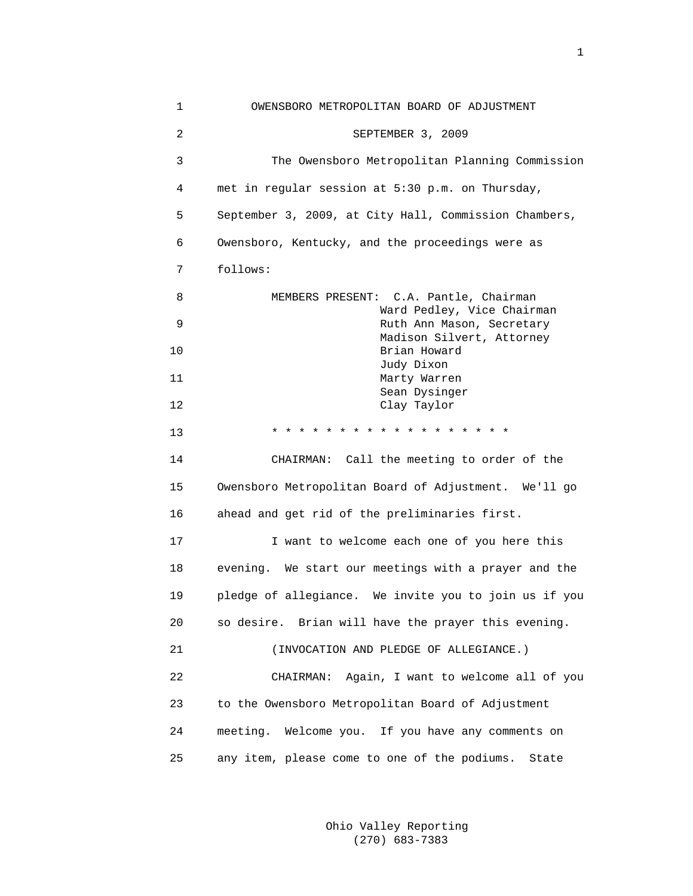| 1  | OWENSBORO METROPOLITAN BOARD OF ADJUSTMENT              |
|----|---------------------------------------------------------|
| 2  | SEPTEMBER 3, 2009                                       |
| 3  | The Owensboro Metropolitan Planning Commission          |
| 4  | met in regular session at 5:30 p.m. on Thursday,        |
| 5  | September 3, 2009, at City Hall, Commission Chambers,   |
| 6  | Owensboro, Kentucky, and the proceedings were as        |
| 7  | follows:                                                |
| 8  | MEMBERS PRESENT: C.A. Pantle, Chairman                  |
| 9  | Ward Pedley, Vice Chairman<br>Ruth Ann Mason, Secretary |
| 10 | Madison Silvert, Attorney<br>Brian Howard               |
| 11 | Judy Dixon<br>Marty Warren                              |
| 12 | Sean Dysinger<br>Clay Taylor                            |
| 13 |                                                         |
| 14 | CHAIRMAN: Call the meeting to order of the              |
| 15 | Owensboro Metropolitan Board of Adjustment. We'll go    |
| 16 | ahead and get rid of the preliminaries first.           |
| 17 | I want to welcome each one of you here this             |
| 18 | evening. We start our meetings with a prayer and the    |
| 19 | pledge of allegiance. We invite you to join us if you   |
| 20 | so desire. Brian will have the prayer this evening.     |
| 21 | (INVOCATION AND PLEDGE OF ALLEGIANCE.)                  |
| 22 | Again, I want to welcome all of you<br>CHAIRMAN:        |
| 23 | to the Owensboro Metropolitan Board of Adjustment       |
| 24 | meeting. Welcome you. If you have any comments on       |
| 25 | any item, please come to one of the podiums. State      |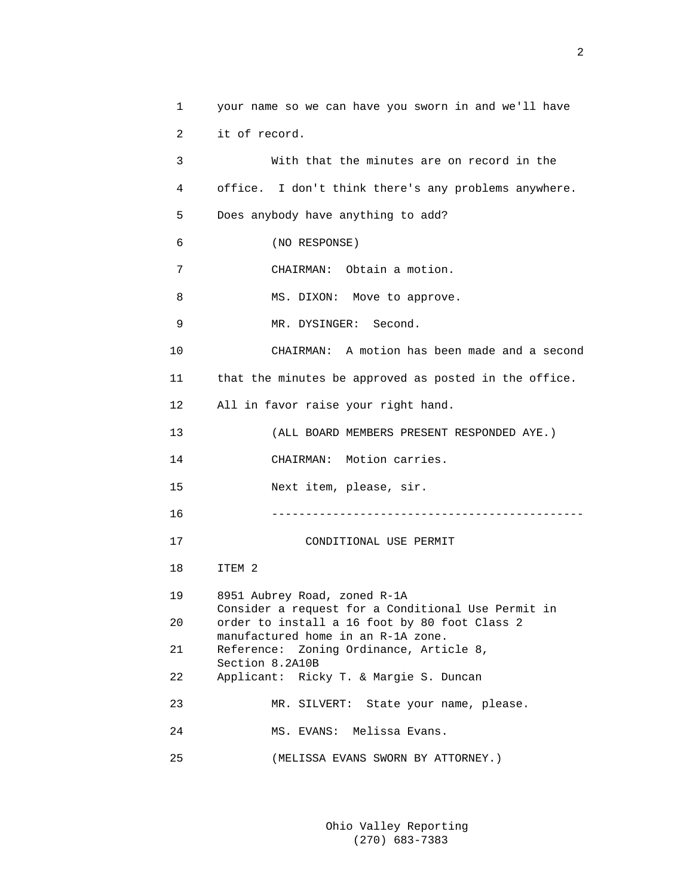| 1  | your name so we can have you sworn in and we'll have                                                                                      |
|----|-------------------------------------------------------------------------------------------------------------------------------------------|
| 2  | it of record.                                                                                                                             |
| 3  | With that the minutes are on record in the                                                                                                |
| 4  | office. I don't think there's any problems anywhere.                                                                                      |
| 5  | Does anybody have anything to add?                                                                                                        |
| 6  | (NO RESPONSE)                                                                                                                             |
| 7  | CHAIRMAN: Obtain a motion.                                                                                                                |
| 8  | MS. DIXON: Move to approve.                                                                                                               |
| 9  | MR. DYSINGER: Second.                                                                                                                     |
| 10 | CHAIRMAN: A motion has been made and a second                                                                                             |
| 11 | that the minutes be approved as posted in the office.                                                                                     |
| 12 | All in favor raise your right hand.                                                                                                       |
| 13 | (ALL BOARD MEMBERS PRESENT RESPONDED AYE.)                                                                                                |
| 14 | CHAIRMAN: Motion carries.                                                                                                                 |
| 15 | Next item, please, sir.                                                                                                                   |
| 16 |                                                                                                                                           |
| 17 | CONDITIONAL USE PERMIT                                                                                                                    |
| 18 | ITEM 2                                                                                                                                    |
| 19 | 8951 Aubrey Road, zoned R-1A                                                                                                              |
| 20 | Consider a request for a Conditional Use Permit in<br>order to install a 16 foot by 80 foot Class 2<br>manufactured home in an R-1A zone. |
| 21 | Reference: Zoning Ordinance, Article 8,                                                                                                   |
| 22 | Section 8.2A10B<br>Applicant: Ricky T. & Margie S. Duncan                                                                                 |
| 23 | MR. SILVERT: State your name, please.                                                                                                     |
| 24 | MS. EVANS: Melissa Evans.                                                                                                                 |
| 25 | (MELISSA EVANS SWORN BY ATTORNEY.)                                                                                                        |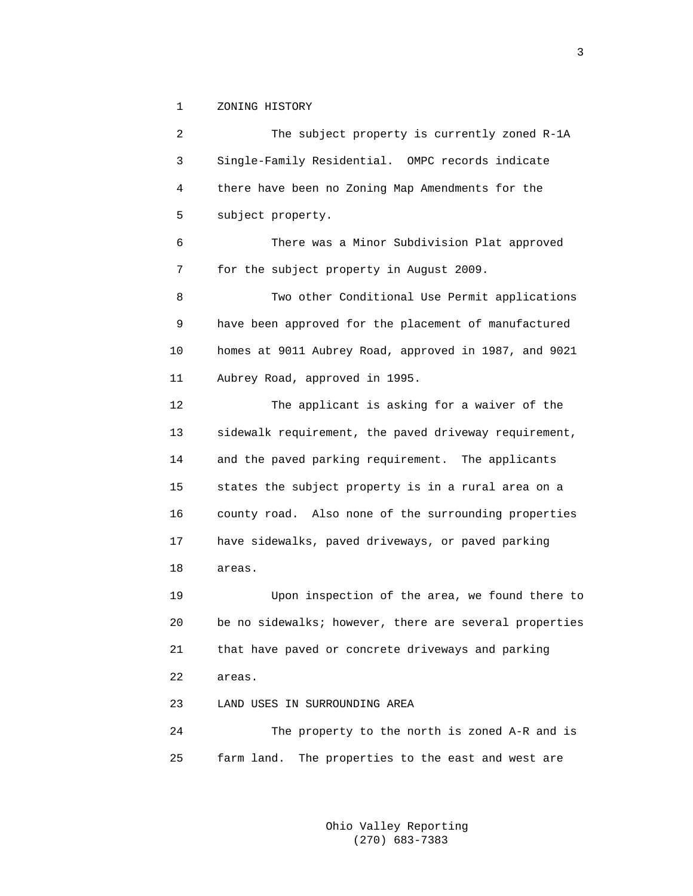1 ZONING HISTORY

 2 The subject property is currently zoned R-1A 3 Single-Family Residential. OMPC records indicate 4 there have been no Zoning Map Amendments for the 5 subject property. 6 There was a Minor Subdivision Plat approved 7 for the subject property in August 2009. 8 Two other Conditional Use Permit applications 9 have been approved for the placement of manufactured 10 homes at 9011 Aubrey Road, approved in 1987, and 9021 11 Aubrey Road, approved in 1995. 12 The applicant is asking for a waiver of the 13 sidewalk requirement, the paved driveway requirement, 14 and the paved parking requirement. The applicants 15 states the subject property is in a rural area on a 16 county road. Also none of the surrounding properties 17 have sidewalks, paved driveways, or paved parking 18 areas. 19 Upon inspection of the area, we found there to 20 be no sidewalks; however, there are several properties 21 that have paved or concrete driveways and parking 22 areas. 23 LAND USES IN SURROUNDING AREA 24 The property to the north is zoned A-R and is

25 farm land. The properties to the east and west are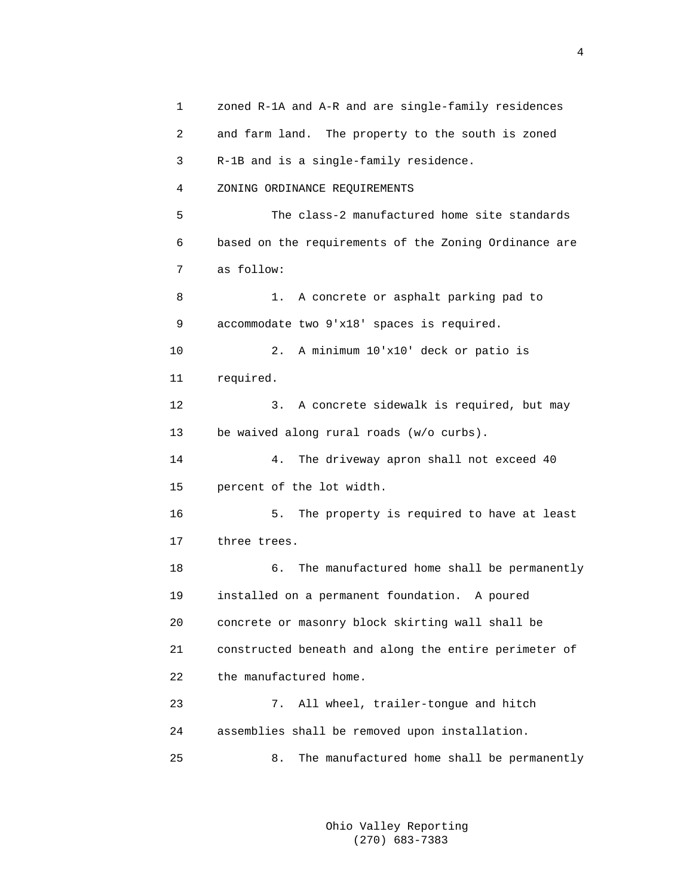1 zoned R-1A and A-R and are single-family residences 2 and farm land. The property to the south is zoned 3 R-1B and is a single-family residence. 4 ZONING ORDINANCE REQUIREMENTS 5 The class-2 manufactured home site standards 6 based on the requirements of the Zoning Ordinance are 7 as follow: 8 1. A concrete or asphalt parking pad to 9 accommodate two 9'x18' spaces is required. 10 2. A minimum 10'x10' deck or patio is 11 required. 12 3. A concrete sidewalk is required, but may 13 be waived along rural roads (w/o curbs). 14 4. The driveway apron shall not exceed 40 15 percent of the lot width. 16 5. The property is required to have at least 17 three trees. 18 6. The manufactured home shall be permanently 19 installed on a permanent foundation. A poured 20 concrete or masonry block skirting wall shall be 21 constructed beneath and along the entire perimeter of 22 the manufactured home. 23 7. All wheel, trailer-tongue and hitch 24 assemblies shall be removed upon installation. 25 8. The manufactured home shall be permanently

> Ohio Valley Reporting (270) 683-7383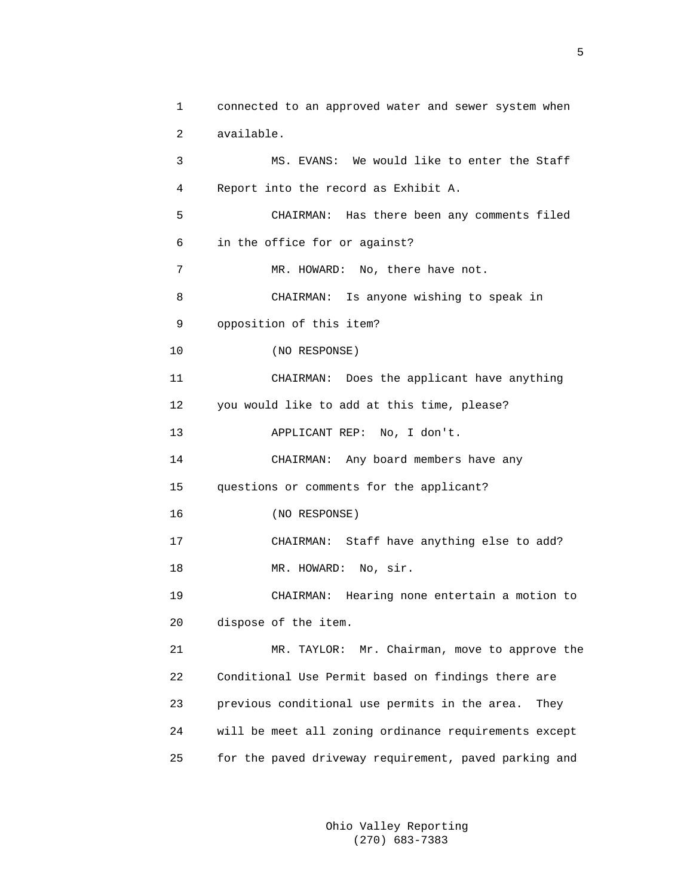```
 1 connected to an approved water and sewer system when 
 2 available. 
 3 MS. EVANS: We would like to enter the Staff 
 4 Report into the record as Exhibit A. 
 5 CHAIRMAN: Has there been any comments filed 
 6 in the office for or against? 
7 MR. HOWARD: No, there have not.
 8 CHAIRMAN: Is anyone wishing to speak in 
 9 opposition of this item? 
 10 (NO RESPONSE) 
 11 CHAIRMAN: Does the applicant have anything 
 12 you would like to add at this time, please? 
 13 APPLICANT REP: No, I don't. 
 14 CHAIRMAN: Any board members have any 
 15 questions or comments for the applicant? 
 16 (NO RESPONSE) 
 17 CHAIRMAN: Staff have anything else to add? 
18 MR. HOWARD: No, sir.
 19 CHAIRMAN: Hearing none entertain a motion to 
 20 dispose of the item. 
 21 MR. TAYLOR: Mr. Chairman, move to approve the 
 22 Conditional Use Permit based on findings there are 
 23 previous conditional use permits in the area. They 
 24 will be meet all zoning ordinance requirements except 
 25 for the paved driveway requirement, paved parking and
```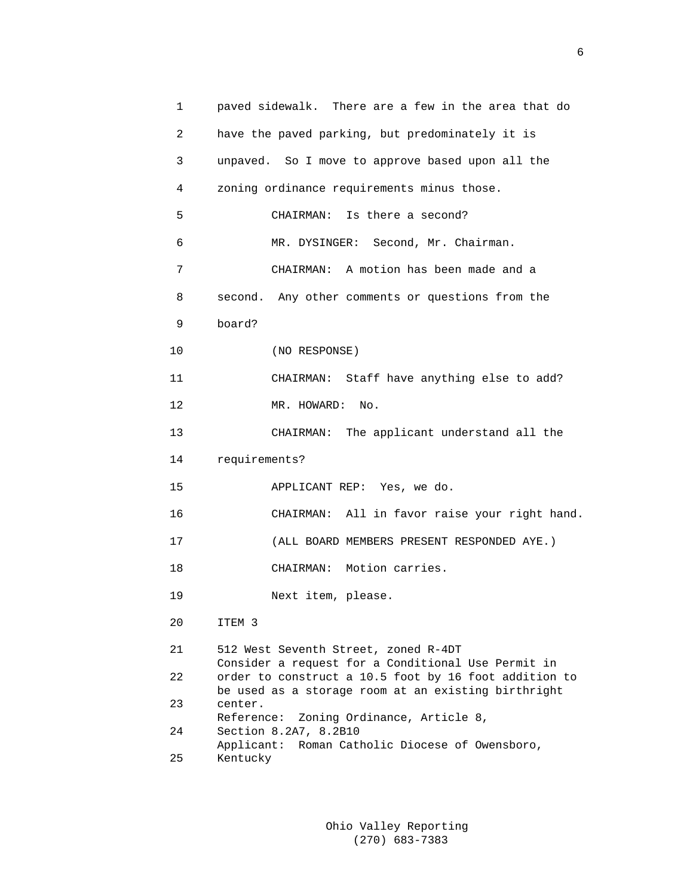1 paved sidewalk. There are a few in the area that do 2 have the paved parking, but predominately it is 3 unpaved. So I move to approve based upon all the 4 zoning ordinance requirements minus those. 5 CHAIRMAN: Is there a second? 6 MR. DYSINGER: Second, Mr. Chairman. 7 CHAIRMAN: A motion has been made and a 8 second. Any other comments or questions from the 9 board? 10 (NO RESPONSE) 11 CHAIRMAN: Staff have anything else to add? 12 MR. HOWARD: No. 13 CHAIRMAN: The applicant understand all the 14 requirements? 15 APPLICANT REP: Yes, we do. 16 CHAIRMAN: All in favor raise your right hand. 17 (ALL BOARD MEMBERS PRESENT RESPONDED AYE.) 18 CHAIRMAN: Motion carries. 19 Next item, please. 20 ITEM 3 21 512 West Seventh Street, zoned R-4DT Consider a request for a Conditional Use Permit in 22 order to construct a 10.5 foot by 16 foot addition to be used as a storage room at an existing birthright 23 center. Reference: Zoning Ordinance, Article 8, 24 Section 8.2A7, 8.2B10 Applicant: Roman Catholic Diocese of Owensboro, 25 Kentucky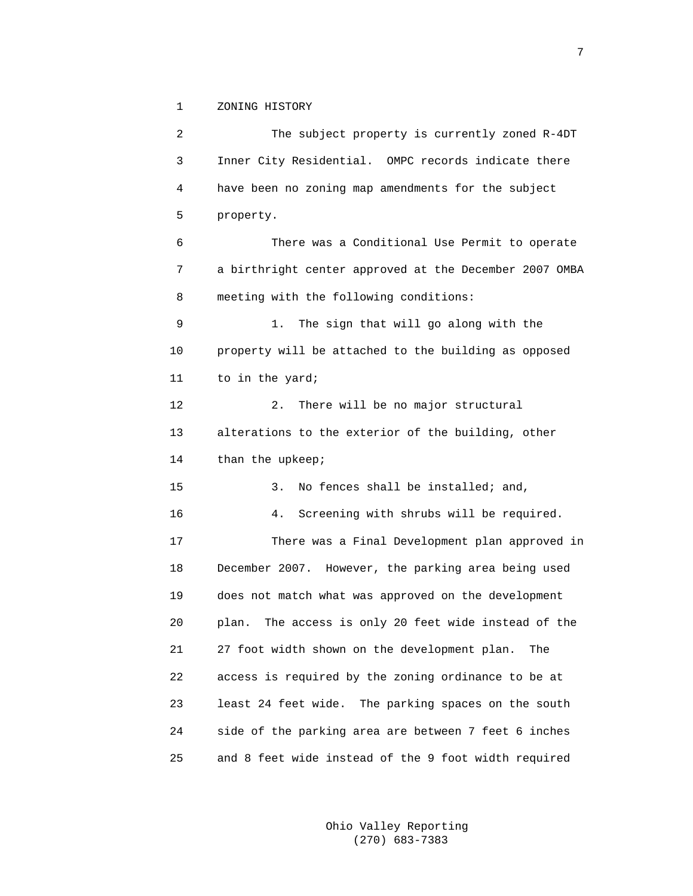1 ZONING HISTORY

 2 The subject property is currently zoned R-4DT 3 Inner City Residential. OMPC records indicate there 4 have been no zoning map amendments for the subject 5 property. 6 There was a Conditional Use Permit to operate 7 a birthright center approved at the December 2007 OMBA 8 meeting with the following conditions: 9 1. The sign that will go along with the 10 property will be attached to the building as opposed 11 to in the yard; 12 2. There will be no major structural 13 alterations to the exterior of the building, other 14 than the upkeep; 15 3. No fences shall be installed; and, 16 4. Screening with shrubs will be required. 17 There was a Final Development plan approved in 18 December 2007. However, the parking area being used 19 does not match what was approved on the development 20 plan. The access is only 20 feet wide instead of the 21 27 foot width shown on the development plan. The 22 access is required by the zoning ordinance to be at 23 least 24 feet wide. The parking spaces on the south 24 side of the parking area are between 7 feet 6 inches 25 and 8 feet wide instead of the 9 foot width required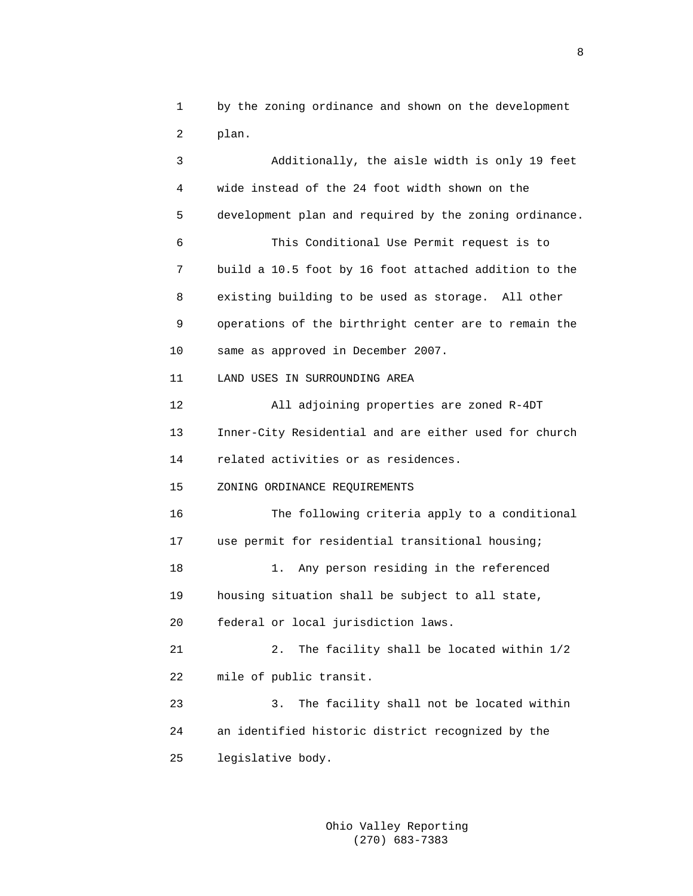1 by the zoning ordinance and shown on the development 2 plan.

 3 Additionally, the aisle width is only 19 feet 4 wide instead of the 24 foot width shown on the 5 development plan and required by the zoning ordinance. 6 This Conditional Use Permit request is to 7 build a 10.5 foot by 16 foot attached addition to the 8 existing building to be used as storage. All other 9 operations of the birthright center are to remain the 10 same as approved in December 2007. 11 LAND USES IN SURROUNDING AREA 12 All adjoining properties are zoned R-4DT 13 Inner-City Residential and are either used for church 14 related activities or as residences. 15 ZONING ORDINANCE REQUIREMENTS 16 The following criteria apply to a conditional 17 use permit for residential transitional housing; 18 1. Any person residing in the referenced 19 housing situation shall be subject to all state, 20 federal or local jurisdiction laws. 21 2. The facility shall be located within 1/2 22 mile of public transit. 23 3. The facility shall not be located within 24 an identified historic district recognized by the 25 legislative body.

> Ohio Valley Reporting (270) 683-7383

experience of the state of the state of the state of the state of the state of the state of the state of the s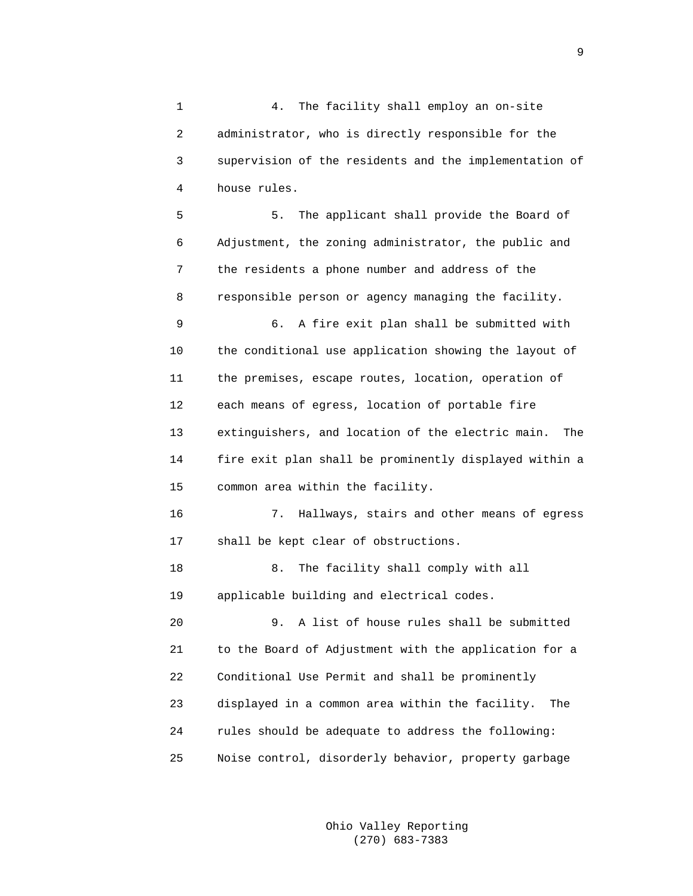1 4. The facility shall employ an on-site 2 administrator, who is directly responsible for the 3 supervision of the residents and the implementation of 4 house rules.

 5 5. The applicant shall provide the Board of 6 Adjustment, the zoning administrator, the public and 7 the residents a phone number and address of the 8 responsible person or agency managing the facility. 9 6. A fire exit plan shall be submitted with 10 the conditional use application showing the layout of 11 the premises, escape routes, location, operation of 12 each means of egress, location of portable fire 13 extinguishers, and location of the electric main. The 14 fire exit plan shall be prominently displayed within a

15 common area within the facility.

 16 7. Hallways, stairs and other means of egress 17 shall be kept clear of obstructions.

18 8. The facility shall comply with all 19 applicable building and electrical codes.

 20 9. A list of house rules shall be submitted 21 to the Board of Adjustment with the application for a 22 Conditional Use Permit and shall be prominently 23 displayed in a common area within the facility. The 24 rules should be adequate to address the following: 25 Noise control, disorderly behavior, property garbage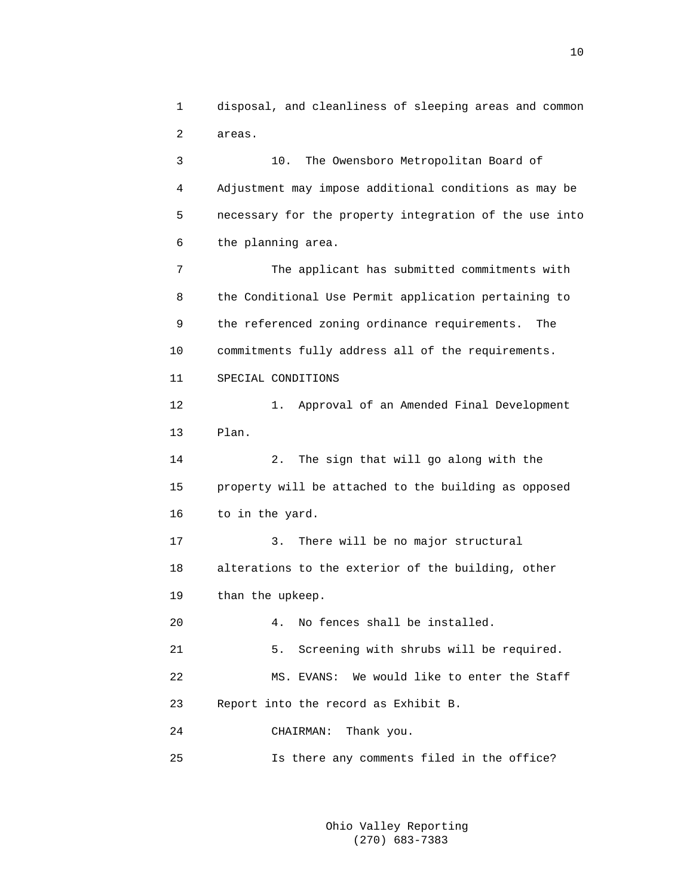1 disposal, and cleanliness of sleeping areas and common 2 areas.

 3 10. The Owensboro Metropolitan Board of 4 Adjustment may impose additional conditions as may be 5 necessary for the property integration of the use into 6 the planning area.

 7 The applicant has submitted commitments with 8 the Conditional Use Permit application pertaining to 9 the referenced zoning ordinance requirements. The 10 commitments fully address all of the requirements. 11 SPECIAL CONDITIONS

 12 1. Approval of an Amended Final Development 13 Plan.

 14 2. The sign that will go along with the 15 property will be attached to the building as opposed 16 to in the yard.

 17 3. There will be no major structural 18 alterations to the exterior of the building, other 19 than the upkeep.

20 4. No fences shall be installed.

 21 5. Screening with shrubs will be required. 22 MS. EVANS: We would like to enter the Staff 23 Report into the record as Exhibit B.

24 CHAIRMAN: Thank you.

25 Is there any comments filed in the office?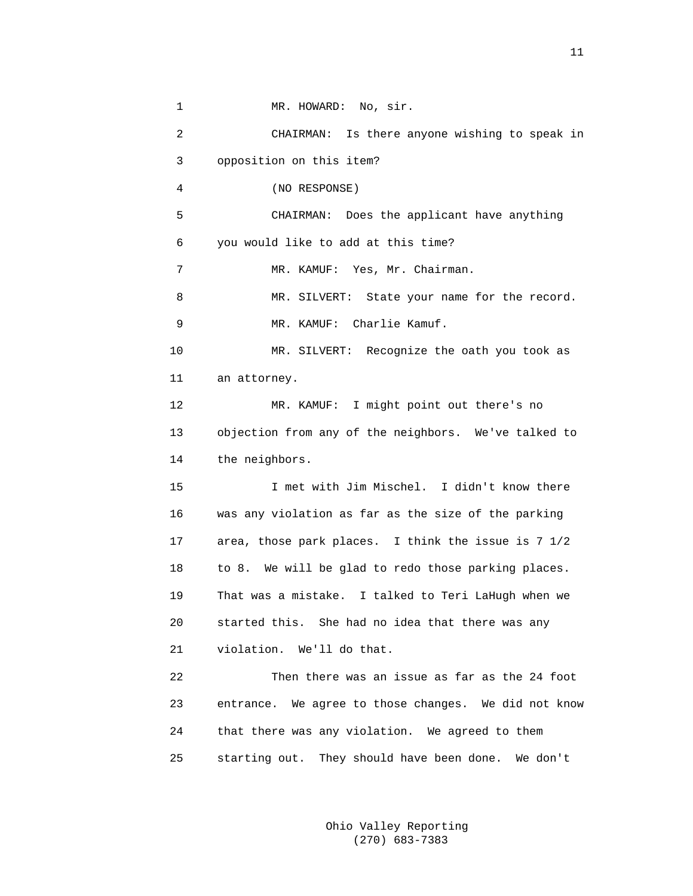1 MR. HOWARD: No, sir. 2 CHAIRMAN: Is there anyone wishing to speak in 3 opposition on this item? 4 (NO RESPONSE) 5 CHAIRMAN: Does the applicant have anything 6 you would like to add at this time? 7 MR. KAMUF: Yes, Mr. Chairman. 8 MR. SILVERT: State your name for the record. 9 MR. KAMUF: Charlie Kamuf. 10 MR. SILVERT: Recognize the oath you took as 11 an attorney. 12 MR. KAMUF: I might point out there's no 13 objection from any of the neighbors. We've talked to 14 the neighbors. 15 I met with Jim Mischel. I didn't know there 16 was any violation as far as the size of the parking 17 area, those park places. I think the issue is 7 1/2 18 to 8. We will be glad to redo those parking places. 19 That was a mistake. I talked to Teri LaHugh when we 20 started this. She had no idea that there was any 21 violation. We'll do that. 22 Then there was an issue as far as the 24 foot 23 entrance. We agree to those changes. We did not know 24 that there was any violation. We agreed to them 25 starting out. They should have been done. We don't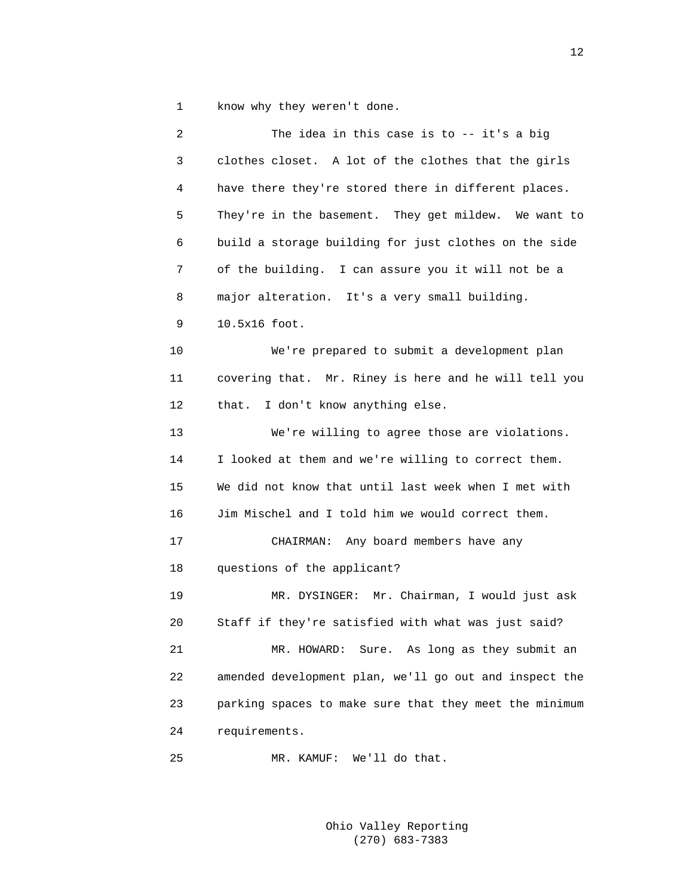1 know why they weren't done.

| $\overline{c}$ | The idea in this case is to -- it's a big              |
|----------------|--------------------------------------------------------|
| 3              | clothes closet. A lot of the clothes that the girls    |
| 4              | have there they're stored there in different places.   |
| 5              | They're in the basement. They get mildew. We want to   |
| 6              | build a storage building for just clothes on the side  |
| 7              | of the building. I can assure you it will not be a     |
| 8              | major alteration. It's a very small building.          |
| 9              | 10.5x16 foot.                                          |
| 10             | We're prepared to submit a development plan            |
| 11             | covering that. Mr. Riney is here and he will tell you  |
| 12             | I don't know anything else.<br>that.                   |
| 13             | We're willing to agree those are violations.           |
| 14             | I looked at them and we're willing to correct them.    |
| 15             | We did not know that until last week when I met with   |
| 16             | Jim Mischel and I told him we would correct them.      |
| 17             | CHAIRMAN: Any board members have any                   |
| 18             | questions of the applicant?                            |
| 19             | MR. DYSINGER: Mr. Chairman, I would just ask           |
| 20             | Staff if they're satisfied with what was just said?    |
| 21             | Sure. As long as they submit an<br>MR. HOWARD:         |
| 22             | amended development plan, we'll go out and inspect the |
| 23             | parking spaces to make sure that they meet the minimum |
| 24             | requirements.                                          |
| 25             | We'll do that.<br>MR. KAMUF:                           |

12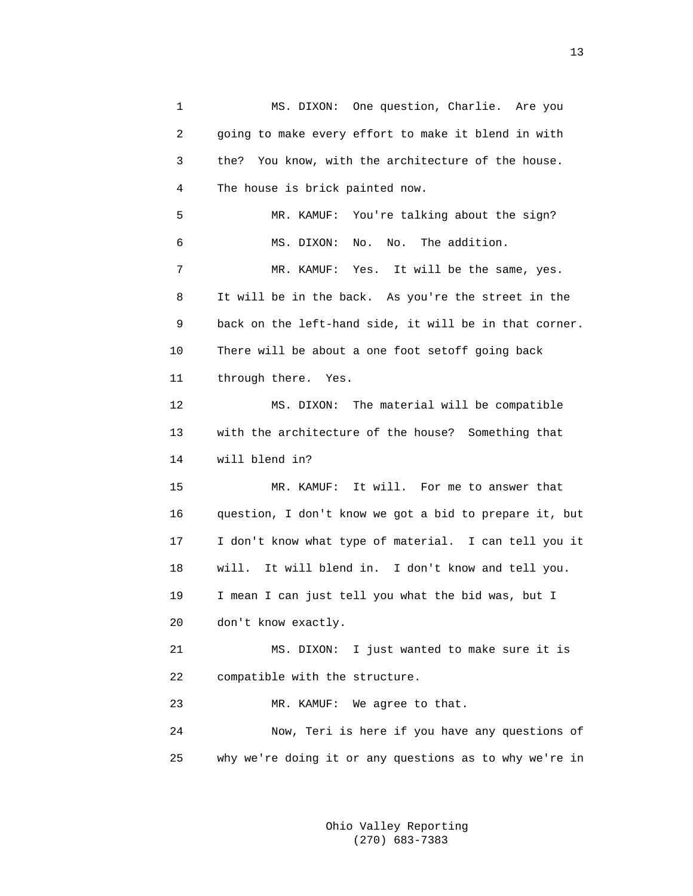1 MS. DIXON: One question, Charlie. Are you 2 going to make every effort to make it blend in with 3 the? You know, with the architecture of the house. 4 The house is brick painted now. 5 MR. KAMUF: You're talking about the sign? 6 MS. DIXON: No. No. The addition. 7 MR. KAMUF: Yes. It will be the same, yes. 8 It will be in the back. As you're the street in the 9 back on the left-hand side, it will be in that corner. 10 There will be about a one foot setoff going back 11 through there. Yes. 12 MS. DIXON: The material will be compatible 13 with the architecture of the house? Something that 14 will blend in? 15 MR. KAMUF: It will. For me to answer that 16 question, I don't know we got a bid to prepare it, but 17 I don't know what type of material. I can tell you it 18 will. It will blend in. I don't know and tell you. 19 I mean I can just tell you what the bid was, but I 20 don't know exactly. 21 MS. DIXON: I just wanted to make sure it is 22 compatible with the structure. 23 MR. KAMUF: We agree to that. 24 Now, Teri is here if you have any questions of 25 why we're doing it or any questions as to why we're in

> Ohio Valley Reporting (270) 683-7383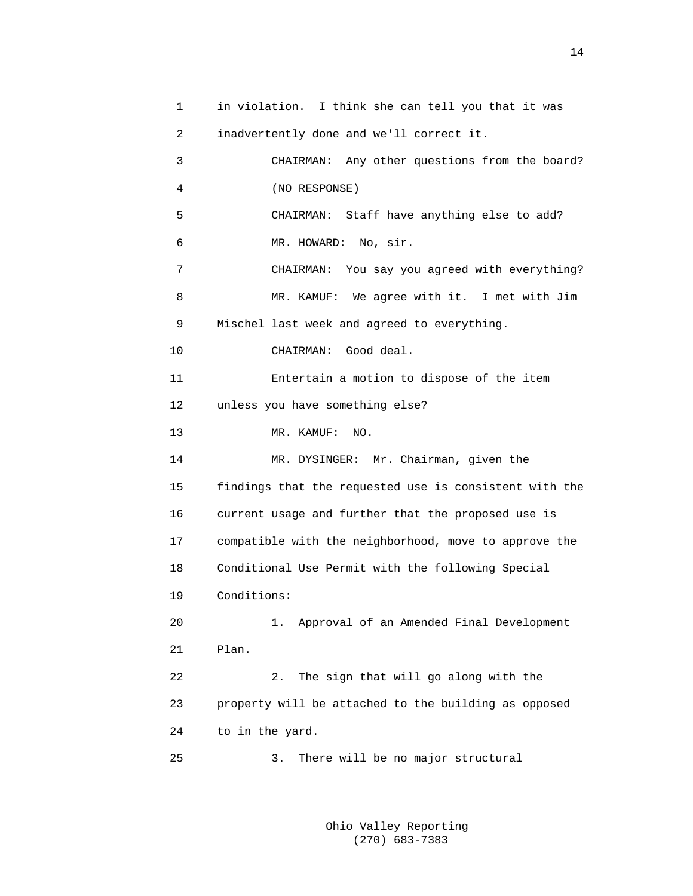1 in violation. I think she can tell you that it was 2 inadvertently done and we'll correct it. 3 CHAIRMAN: Any other questions from the board? 4 (NO RESPONSE) 5 CHAIRMAN: Staff have anything else to add? 6 MR. HOWARD: No, sir. 7 CHAIRMAN: You say you agreed with everything? 8 MR. KAMUF: We agree with it. I met with Jim 9 Mischel last week and agreed to everything. 10 CHAIRMAN: Good deal. 11 Entertain a motion to dispose of the item 12 unless you have something else? 13 MR. KAMUF: NO. 14 MR. DYSINGER: Mr. Chairman, given the 15 findings that the requested use is consistent with the 16 current usage and further that the proposed use is 17 compatible with the neighborhood, move to approve the 18 Conditional Use Permit with the following Special 19 Conditions: 20 1. Approval of an Amended Final Development 21 Plan. 22 2. The sign that will go along with the 23 property will be attached to the building as opposed 24 to in the yard. 25 3. There will be no major structural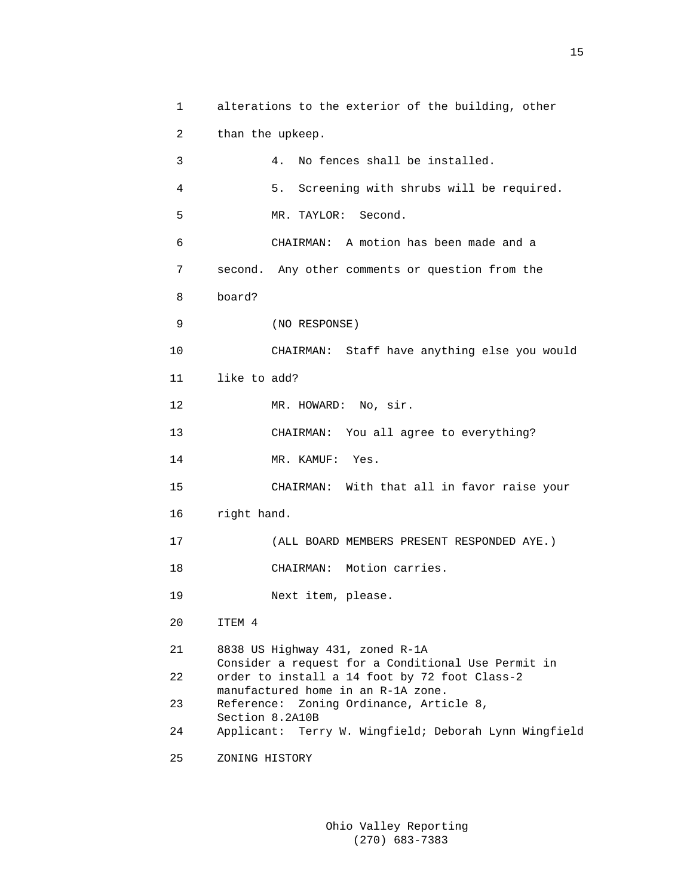```
 1 alterations to the exterior of the building, other 
 2 than the upkeep. 
 3 4. No fences shall be installed. 
 4 5. Screening with shrubs will be required. 
 5 MR. TAYLOR: Second. 
 6 CHAIRMAN: A motion has been made and a 
 7 second. Any other comments or question from the 
 8 board? 
 9 (NO RESPONSE) 
 10 CHAIRMAN: Staff have anything else you would 
 11 like to add? 
12 MR. HOWARD: No, sir.
 13 CHAIRMAN: You all agree to everything? 
14 MR. KAMUF: Yes.
 15 CHAIRMAN: With that all in favor raise your 
 16 right hand. 
 17 (ALL BOARD MEMBERS PRESENT RESPONDED AYE.) 
 18 CHAIRMAN: Motion carries. 
 19 Next item, please. 
 20 ITEM 4 
 21 8838 US Highway 431, zoned R-1A 
       Consider a request for a Conditional Use Permit in 
 22 order to install a 14 foot by 72 foot Class-2 
      manufactured home in an R-1A zone. 
 23 Reference: Zoning Ordinance, Article 8, 
       Section 8.2A10B 
 24 Applicant: Terry W. Wingfield; Deborah Lynn Wingfield 
 25 ZONING HISTORY
```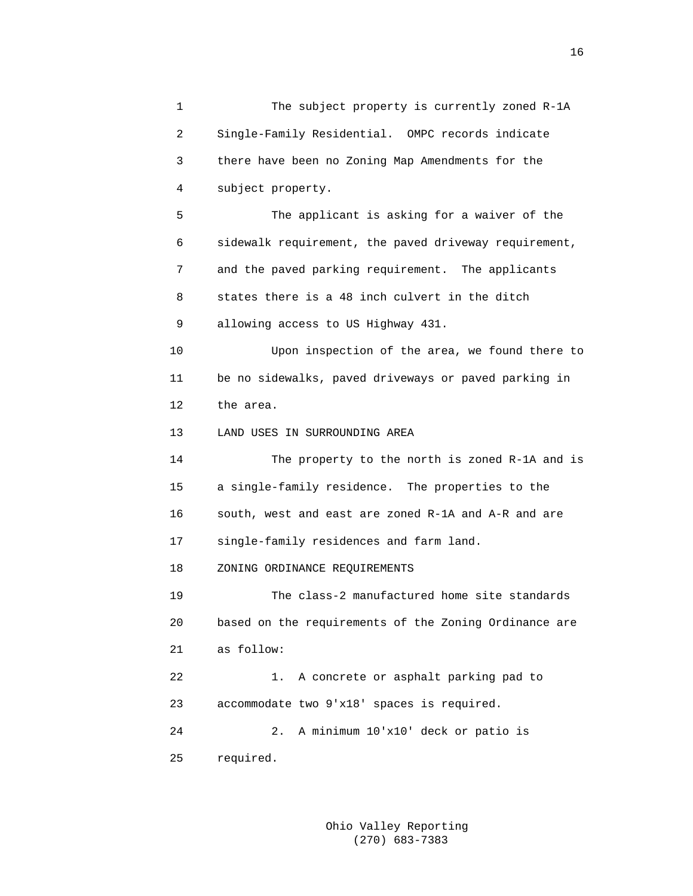| 1  | The subject property is currently zoned R-1A          |
|----|-------------------------------------------------------|
| 2  | Single-Family Residential. OMPC records indicate      |
| 3  | there have been no Zoning Map Amendments for the      |
| 4  | subject property.                                     |
| 5  | The applicant is asking for a waiver of the           |
| 6  | sidewalk requirement, the paved driveway requirement, |
| 7  | and the paved parking requirement. The applicants     |
| 8  | states there is a 48 inch culvert in the ditch        |
| 9  | allowing access to US Highway 431.                    |
| 10 | Upon inspection of the area, we found there to        |
| 11 | be no sidewalks, paved driveways or paved parking in  |
| 12 | the area.                                             |
| 13 | LAND USES IN SURROUNDING AREA                         |
| 14 | The property to the north is zoned R-1A and is        |
| 15 | a single-family residence. The properties to the      |
| 16 | south, west and east are zoned R-1A and A-R and are   |
| 17 | single-family residences and farm land.               |
| 18 | ZONING ORDINANCE REQUIREMENTS                         |
| 19 | The class-2 manufactured home site standards          |
| 20 | based on the requirements of the Zoning Ordinance are |
| 21 | as follow:                                            |
| 22 | A concrete or asphalt parking pad to<br>1.            |
| 23 | accommodate two 9'x18' spaces is required.            |
| 24 | A minimum 10'x10' deck or patio is<br>2.              |
| 25 | required.                                             |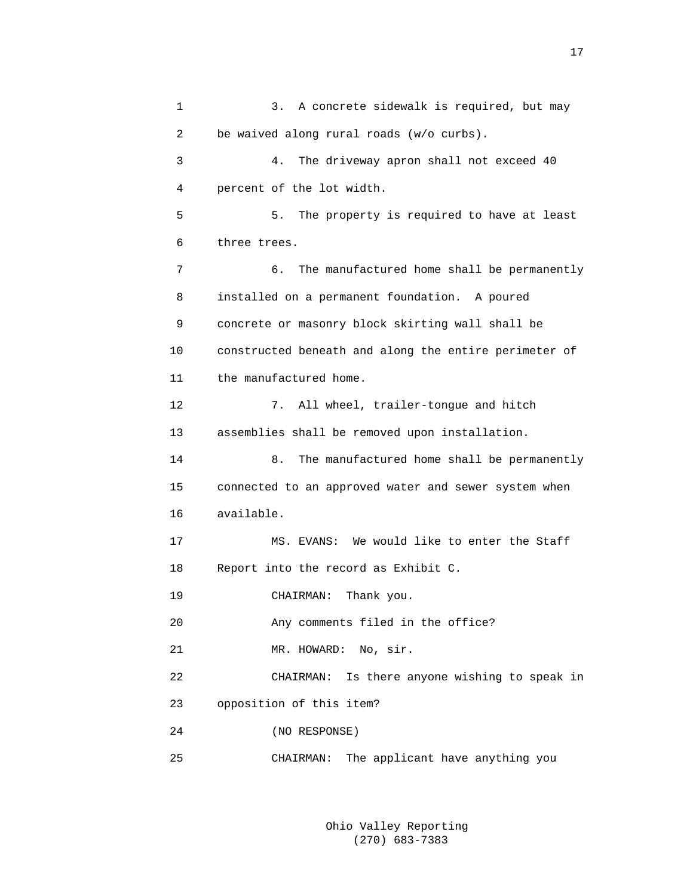1 3. A concrete sidewalk is required, but may 2 be waived along rural roads (w/o curbs). 3 4. The driveway apron shall not exceed 40 4 percent of the lot width. 5 5. The property is required to have at least 6 three trees. 7 6. The manufactured home shall be permanently 8 installed on a permanent foundation. A poured 9 concrete or masonry block skirting wall shall be 10 constructed beneath and along the entire perimeter of 11 the manufactured home. 12 7. All wheel, trailer-tongue and hitch 13 assemblies shall be removed upon installation. 14 8. The manufactured home shall be permanently 15 connected to an approved water and sewer system when 16 available. 17 MS. EVANS: We would like to enter the Staff 18 Report into the record as Exhibit C. 19 CHAIRMAN: Thank you. 20 Any comments filed in the office? 21 MR. HOWARD: No, sir. 22 CHAIRMAN: Is there anyone wishing to speak in 23 opposition of this item? 24 (NO RESPONSE) 25 CHAIRMAN: The applicant have anything you

> Ohio Valley Reporting (270) 683-7383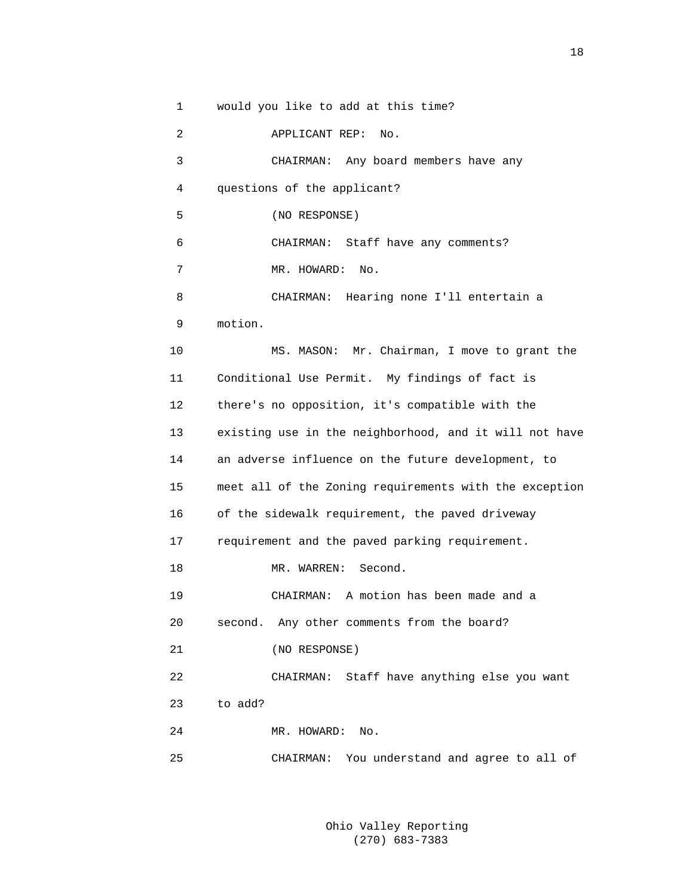1 would you like to add at this time?

| $\overline{2}$ | APPLICANT REP:<br>No.                                  |
|----------------|--------------------------------------------------------|
| 3              | CHAIRMAN: Any board members have any                   |
| 4              | questions of the applicant?                            |
| 5              | (NO RESPONSE)                                          |
| 6              | CHAIRMAN: Staff have any comments?                     |
| 7              | MR. HOWARD:<br>No.                                     |
| 8              | CHAIRMAN: Hearing none I'll entertain a                |
| 9              | motion.                                                |
| 10             | MS. MASON: Mr. Chairman, I move to grant the           |
| 11             | Conditional Use Permit. My findings of fact is         |
| 12             | there's no opposition, it's compatible with the        |
| 13             | existing use in the neighborhood, and it will not have |
| 14             | an adverse influence on the future development, to     |
| 15             | meet all of the Zoning requirements with the exception |
| 16             | of the sidewalk requirement, the paved driveway        |
| 17             | requirement and the paved parking requirement.         |
| 18             | MR. WARREN: Second.                                    |
| 19             | CHAIRMAN: A motion has been made and a                 |
| 20             | Any other comments from the board?<br>second.          |
| 21             | (NO RESPONSE)                                          |
| 22             | Staff have anything else you want<br>CHAIRMAN:         |
| 23             | to add?                                                |
| 24             | MR. HOWARD:<br>No.                                     |
| 25             | CHAIRMAN: You understand and agree to all of           |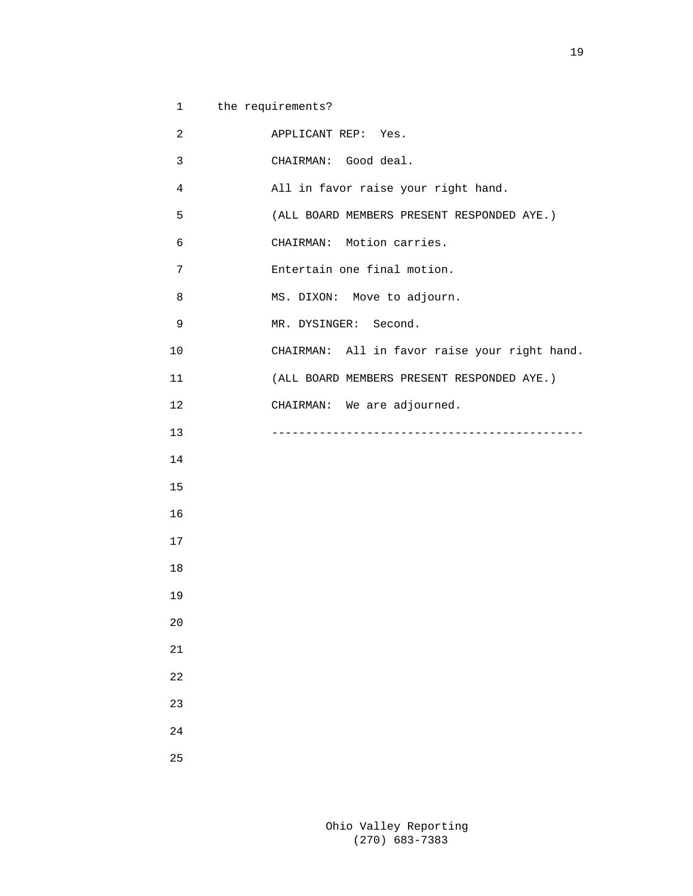| $\mathbf{1}$   | the requirements?                             |
|----------------|-----------------------------------------------|
| $\overline{c}$ | APPLICANT REP: Yes.                           |
| 3              | CHAIRMAN: Good deal.                          |
| $\overline{4}$ | All in favor raise your right hand.           |
| 5              | (ALL BOARD MEMBERS PRESENT RESPONDED AYE.)    |
| 6              | CHAIRMAN: Motion carries.                     |
| 7              | Entertain one final motion.                   |
| 8              | MS. DIXON: Move to adjourn.                   |
| 9              | MR. DYSINGER: Second.                         |
| $10$           | CHAIRMAN: All in favor raise your right hand. |
| 11             | (ALL BOARD MEMBERS PRESENT RESPONDED AYE.)    |
| 12             | CHAIRMAN: We are adjourned.                   |
| 13             |                                               |
| 14             |                                               |
| 15             |                                               |
| 16             |                                               |
| 17             |                                               |
| 18             |                                               |
| 19             |                                               |
| 20             |                                               |
| 21             |                                               |
| 22             |                                               |
| 23             |                                               |
| 24             |                                               |
| 25             |                                               |